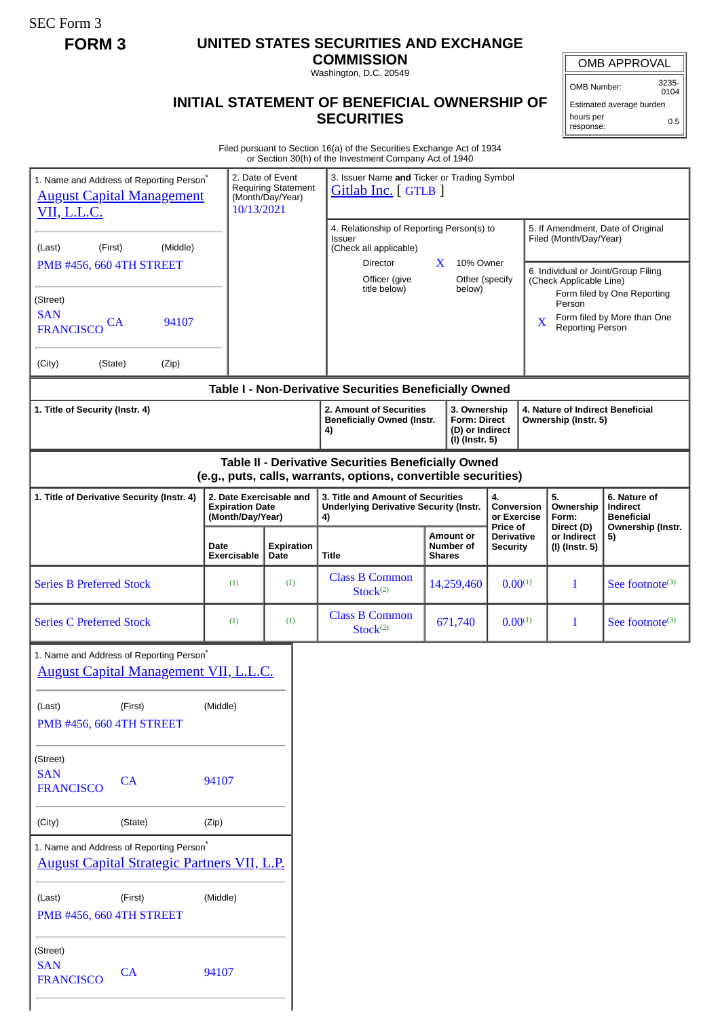SEC Form 3

# **FORM 3 UNITED STATES SECURITIES AND EXCHANGE**

**COMMISSION** Washington, D.C. 20549

## **INITIAL STATEMENT OF BENEFICIAL OWNERSHIP OF SECURITIES**

OMB APPROVAL

OMB Number: 3235- 0104

Estimated average burden hours per response: 0.5

Filed pursuant to Section 16(a) of the Securities Exchange Act of 1934 or Section 30(h) of the Investment Company Act of 1940

| 1. Name and Address of Reporting Person <sup>*</sup><br><b>August Capital Management</b><br><u>VII, L.L.C.</u><br>(First)<br>(Middle)<br>(Last)<br>PMB #456, 660 4TH STREET<br>(Street)<br><b>SAN</b><br>94107<br>CA<br><b>FRANCISCO</b><br>(Zip)<br>(City)<br>(State) | 10/13/2021                                                            | 2. Date of Event<br><b>Requiring Statement</b><br>(Month/Day/Year) | 3. Issuer Name and Ticker or Trading Symbol<br>Gitlab Inc. [GTLB ]<br>4. Relationship of Reporting Person(s) to<br><b>Issuer</b><br>(Check all applicable)<br>Director<br>Officer (give<br>title below) | $X$ 10% Owner<br>Other (specify<br>below)                                | X                                                | Filed (Month/Day/Year)<br>(Check Applicable Line)<br>Person<br><b>Reporting Person</b> | 5. If Amendment, Date of Original<br>6. Individual or Joint/Group Filing<br>Form filed by One Reporting<br>Form filed by More than One |
|------------------------------------------------------------------------------------------------------------------------------------------------------------------------------------------------------------------------------------------------------------------------|-----------------------------------------------------------------------|--------------------------------------------------------------------|---------------------------------------------------------------------------------------------------------------------------------------------------------------------------------------------------------|--------------------------------------------------------------------------|--------------------------------------------------|----------------------------------------------------------------------------------------|----------------------------------------------------------------------------------------------------------------------------------------|
|                                                                                                                                                                                                                                                                        |                                                                       |                                                                    | Table I - Non-Derivative Securities Beneficially Owned                                                                                                                                                  |                                                                          |                                                  |                                                                                        |                                                                                                                                        |
| 1. Title of Security (Instr. 4)                                                                                                                                                                                                                                        |                                                                       |                                                                    | 2. Amount of Securities<br><b>Beneficially Owned (Instr.</b><br>4)                                                                                                                                      | 3. Ownership<br><b>Form: Direct</b><br>(D) or Indirect<br>(I) (Instr. 5) |                                                  | 4. Nature of Indirect Beneficial<br>Ownership (Instr. 5)                               |                                                                                                                                        |
| Table II - Derivative Securities Beneficially Owned<br>(e.g., puts, calls, warrants, options, convertible securities)                                                                                                                                                  |                                                                       |                                                                    |                                                                                                                                                                                                         |                                                                          |                                                  |                                                                                        |                                                                                                                                        |
| 1. Title of Derivative Security (Instr. 4)                                                                                                                                                                                                                             | 2. Date Exercisable and<br><b>Expiration Date</b><br>(Month/Day/Year) |                                                                    | 3. Title and Amount of Securities<br><b>Underlying Derivative Security (Instr.</b><br>4)                                                                                                                |                                                                          | 4.<br>Conversion<br>or Exercise                  | 5.<br>Ownership<br>Form:                                                               | 6. Nature of<br><b>Indirect</b><br><b>Beneficial</b>                                                                                   |
|                                                                                                                                                                                                                                                                        | Date<br>Exercisable                                                   | <b>Expiration</b><br>Date                                          | <b>Title</b>                                                                                                                                                                                            | <b>Amount or</b><br>Number of<br><b>Shares</b>                           | Price of<br><b>Derivative</b><br><b>Security</b> | Direct (D)<br>or Indirect<br>5)<br>(I) (Instr. 5)                                      | Ownership (Instr.                                                                                                                      |
| <b>Series B Preferred Stock</b>                                                                                                                                                                                                                                        | (1)                                                                   | (1)                                                                | <b>Class B Common</b><br>Stock <sup>(2)</sup>                                                                                                                                                           | 14,259,460                                                               | $0.00^{(1)}$                                     | I                                                                                      | See footnote <sup>(3)</sup>                                                                                                            |
| <b>Series C Preferred Stock</b>                                                                                                                                                                                                                                        | (1)                                                                   | (1)                                                                | <b>Class B Common</b><br>Stock <sup>(2)</sup>                                                                                                                                                           | 671,740                                                                  | $0.00^{(1)}$                                     | $\bf{I}$                                                                               | See footnote <sup>(3)</sup>                                                                                                            |
| 1. Name and Address of Reporting Person <sup>*</sup><br><b>August Capital Management VII, L.L.C.</b>                                                                                                                                                                   |                                                                       |                                                                    |                                                                                                                                                                                                         |                                                                          |                                                  |                                                                                        |                                                                                                                                        |
| (Last)<br>(First)<br>PMB #456, 660 4TH STREET                                                                                                                                                                                                                          | (Middle)                                                              |                                                                    |                                                                                                                                                                                                         |                                                                          |                                                  |                                                                                        |                                                                                                                                        |
| (Street)<br><b>SAN</b><br>CA<br><b>FRANCISCO</b>                                                                                                                                                                                                                       | 94107                                                                 |                                                                    |                                                                                                                                                                                                         |                                                                          |                                                  |                                                                                        |                                                                                                                                        |
| (City)<br>(State)                                                                                                                                                                                                                                                      | (Zip)                                                                 |                                                                    |                                                                                                                                                                                                         |                                                                          |                                                  |                                                                                        |                                                                                                                                        |
| 1. Name and Address of Reporting Person*<br><b>August Capital Strategic Partners VII, L.P.</b><br>(Last)<br>(First)                                                                                                                                                    | (Middle)                                                              |                                                                    |                                                                                                                                                                                                         |                                                                          |                                                  |                                                                                        |                                                                                                                                        |
| PMB #456, 660 4TH STREET                                                                                                                                                                                                                                               |                                                                       |                                                                    |                                                                                                                                                                                                         |                                                                          |                                                  |                                                                                        |                                                                                                                                        |
| (Street)<br><b>SAN</b><br>CA<br><b>FRANCISCO</b>                                                                                                                                                                                                                       | 94107                                                                 |                                                                    |                                                                                                                                                                                                         |                                                                          |                                                  |                                                                                        |                                                                                                                                        |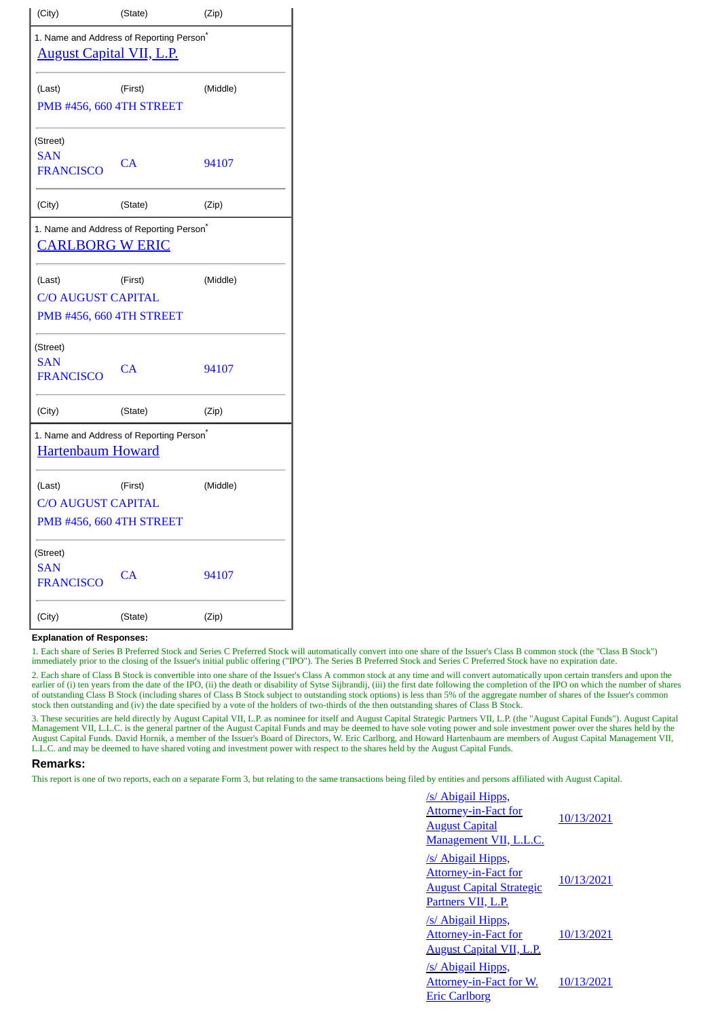| (City)                                                          | (State)                                              | (Zip)    |  |  |
|-----------------------------------------------------------------|------------------------------------------------------|----------|--|--|
| <b>August Capital VII, L.P.</b>                                 | 1. Name and Address of Reporting Person <sup>®</sup> |          |  |  |
| (Last)<br>PMB #456, 660 4TH STREET                              | (First)                                              | (Middle) |  |  |
| (Street)<br><b>SAN</b><br><b>FRANCISCO</b>                      | CA                                                   | 94107    |  |  |
| (City)                                                          | (State)                                              | (Zip)    |  |  |
| <u>CARLBORG W ERIC</u>                                          | 1. Name and Address of Reporting Person <sup>®</sup> |          |  |  |
| (Last)<br><b>C/O AUGUST CAPITAL</b><br>PMB #456, 660 4TH STREET | (First)                                              | (Middle) |  |  |
| (Street)<br><b>SAN</b><br><b>FRANCISCO</b>                      | <b>CA</b>                                            | 94107    |  |  |
| (City)                                                          | (State)                                              | (Zip)    |  |  |
| <b>Hartenbaum Howard</b>                                        | 1. Name and Address of Reporting Person <sup>*</sup> |          |  |  |
| (Last)<br><b>C/O AUGUST CAPITAL</b><br>PMB #456, 660 4TH STREET | (First)                                              | (Middle) |  |  |
| (Street)<br><b>SAN</b><br><b>FRANCISCO</b>                      | CA                                                   | 94107    |  |  |
| (City)                                                          | (State)                                              | (Zip)    |  |  |

#### **Explanation of Responses:**

1. Each share of Series B Preferred Stock and Series C Preferred Stock will automatically convert into one share of the Issuer's Class B common stock (the "Class B Stock") immediately prior to the closing of the Issuer's initial public offering ("IPO"). The Series B Preferred Stock and Series C Preferred Stock have no expiration date.

2. Each share of Class B Stock is convertible into one share of the Issuer's Class A common stock at any time and will convert automatically upon certain transfers and upon the earlier of (i) ten years from the date of the IPO, (ii) the death or disability of Sytse Sijbrandij, (iii) the first date following the completion of the IPO on which the number of shares of outstanding Class B Stock (including shares of Class B Stock subject to outstanding stock options) is less than 5% of the aggregate number of shares of the Issuer's common stock then outstanding and (iv) the date specified by a vote of the holders of two-thirds of the then outstanding shares of Class B Stock.

3. These securities are held directly by August Capital VII, L.P. as nominee for itself and August Capital Strategic Partners VII, L.P. (the "August Capital Funds"). August Capital Management VII, L.L.C. is the general partner of the August Capital Funds and may be deemed to have sole voting power and sole investment power over the shares held by the August Capital Funds. David Hornik, a member of the Issuer's Board of Directors, W. Eric Carlborg, and Howard Hartenbaum are members of August Capital Management VII, L.L.C. and may be deemed to have shared voting and investment power with respect to the shares held by the August Capital Funds.

#### **Remarks:**

This report is one of two reports, each on a separate Form 3, but relating to the same transactions being filed by entities and persons affiliated with August Capital.

| <u>/s/ Abigail Hipps,</u><br><u>Attorney-in-Fact for</u><br><u> August Capital</u>                                                                          | 10/13/2021 |
|-------------------------------------------------------------------------------------------------------------------------------------------------------------|------------|
| <u> Management VII, L.L.C.</u><br><u>/s/ Abigail Hipps,</u><br><u>Attorney-in-Fact for</u><br><u> August Capital Strategic</u><br><u>Partners VII, L.P.</u> | 10/13/2021 |
| <u>/s/ Abigail Hipps,</u><br><u>Attorney-in-Fact for</u><br><u> August Capital VII, L.P.</u>                                                                | 10/13/2021 |
| /s/ Abigail Hipps,<br><u>Attorney-in-Fact for W.</u><br><u> Eric Carlborg</u>                                                                               | 10/13/2021 |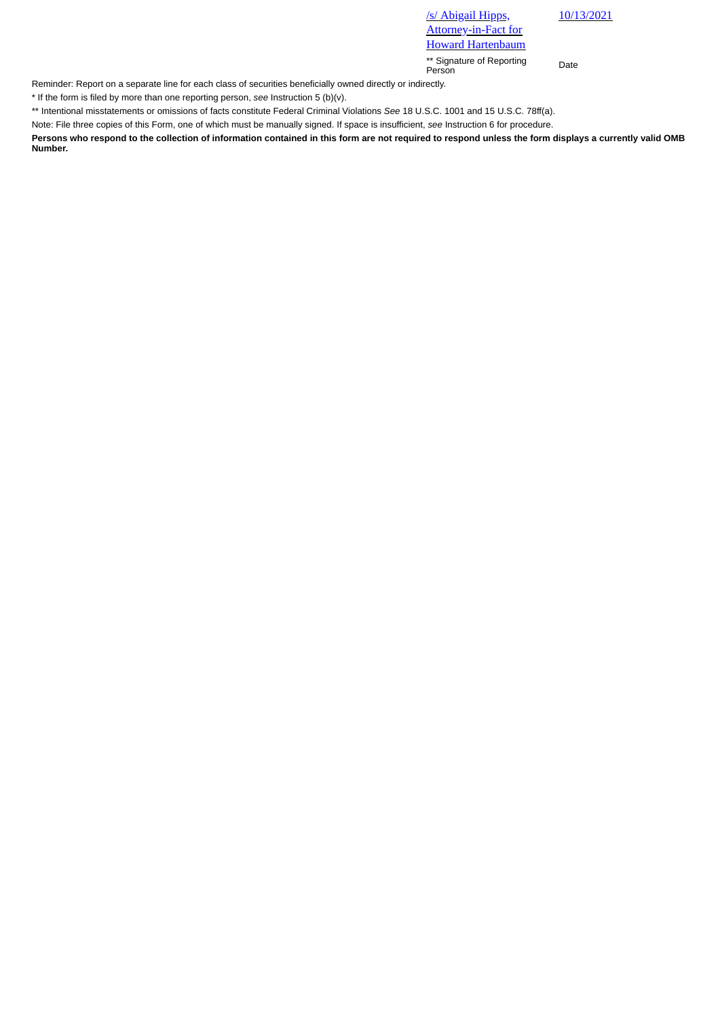/s/ Abigail Hipps, Attorney-in-Fact for

Howard Hartenbaum

\*\* Signature of Reporting Person Date

Reminder: Report on a separate line for each class of securities beneficially owned directly or indirectly.

\* If the form is filed by more than one reporting person, *see* Instruction 5 (b)(v).

\*\* Intentional misstatements or omissions of facts constitute Federal Criminal Violations *See* 18 U.S.C. 1001 and 15 U.S.C. 78ff(a).

Note: File three copies of this Form, one of which must be manually signed. If space is insufficient, *see* Instruction 6 for procedure.

**Persons who respond to the collection of information contained in this form are not required to respond unless the form displays a currently valid OMB Number.**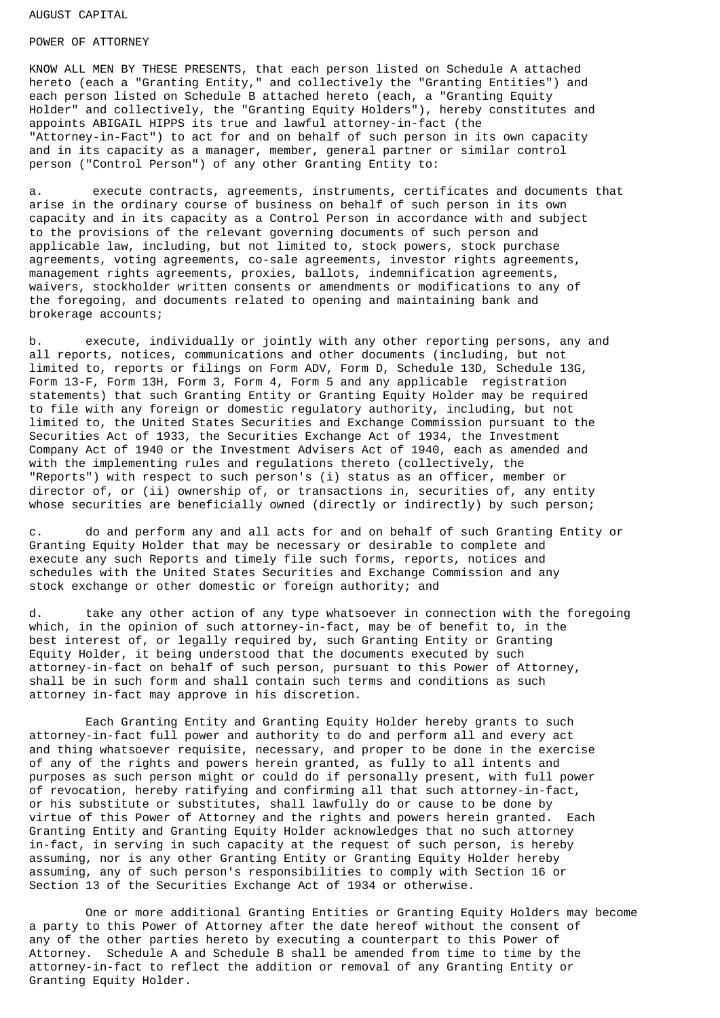#### AUGUST CAPITAL

### POWER OF ATTORNEY

KNOW ALL MEN BY THESE PRESENTS, that each person listed on Schedule A attached hereto (each a "Granting Entity," and collectively the "Granting Entities") and each person listed on Schedule B attached hereto (each, a "Granting Equity Holder" and collectively, the "Granting Equity Holders"), hereby constitutes and appoints ABIGAIL HIPPS its true and lawful attorney-in-fact (the "Attorney-in-Fact") to act for and on behalf of such person in its own capacity and in its capacity as a manager, member, general partner or similar control person ("Control Person") of any other Granting Entity to:

a. execute contracts, agreements, instruments, certificates and documents that arise in the ordinary course of business on behalf of such person in its own capacity and in its capacity as a Control Person in accordance with and subject to the provisions of the relevant governing documents of such person and applicable law, including, but not limited to, stock powers, stock purchase agreements, voting agreements, co-sale agreements, investor rights agreements, management rights agreements, proxies, ballots, indemnification agreements, waivers, stockholder written consents or amendments or modifications to any of the foregoing, and documents related to opening and maintaining bank and brokerage accounts;

b. execute, individually or jointly with any other reporting persons, any and all reports, notices, communications and other documents (including, but not limited to, reports or filings on Form ADV, Form D, Schedule 13D, Schedule 13G, Form 13-F, Form 13H, Form 3, Form 4, Form 5 and any applicable registration statements) that such Granting Entity or Granting Equity Holder may be required to file with any foreign or domestic regulatory authority, including, but not limited to, the United States Securities and Exchange Commission pursuant to the Securities Act of 1933, the Securities Exchange Act of 1934, the Investment Company Act of 1940 or the Investment Advisers Act of 1940, each as amended and with the implementing rules and regulations thereto (collectively, the "Reports") with respect to such person's (i) status as an officer, member or director of, or (ii) ownership of, or transactions in, securities of, any entity whose securities are beneficially owned (directly or indirectly) by such person;

c. do and perform any and all acts for and on behalf of such Granting Entity or Granting Equity Holder that may be necessary or desirable to complete and execute any such Reports and timely file such forms, reports, notices and schedules with the United States Securities and Exchange Commission and any stock exchange or other domestic or foreign authority; and

d. take any other action of any type whatsoever in connection with the foregoing which, in the opinion of such attorney-in-fact, may be of benefit to, in the best interest of, or legally required by, such Granting Entity or Granting Equity Holder, it being understood that the documents executed by such attorney-in-fact on behalf of such person, pursuant to this Power of Attorney, shall be in such form and shall contain such terms and conditions as such attorney in-fact may approve in his discretion.

Each Granting Entity and Granting Equity Holder hereby grants to such attorney-in-fact full power and authority to do and perform all and every act and thing whatsoever requisite, necessary, and proper to be done in the exercise of any of the rights and powers herein granted, as fully to all intents and purposes as such person might or could do if personally present, with full power of revocation, hereby ratifying and confirming all that such attorney-in-fact, or his substitute or substitutes, shall lawfully do or cause to be done by virtue of this Power of Attorney and the rights and powers herein granted. Each Granting Entity and Granting Equity Holder acknowledges that no such attorney in-fact, in serving in such capacity at the request of such person, is hereby assuming, nor is any other Granting Entity or Granting Equity Holder hereby assuming, any of such person's responsibilities to comply with Section 16 or Section 13 of the Securities Exchange Act of 1934 or otherwise.

One or more additional Granting Entities or Granting Equity Holders may become a party to this Power of Attorney after the date hereof without the consent of any of the other parties hereto by executing a counterpart to this Power of Attorney. Schedule A and Schedule B shall be amended from time to time by the attorney-in-fact to reflect the addition or removal of any Granting Entity or Granting Equity Holder.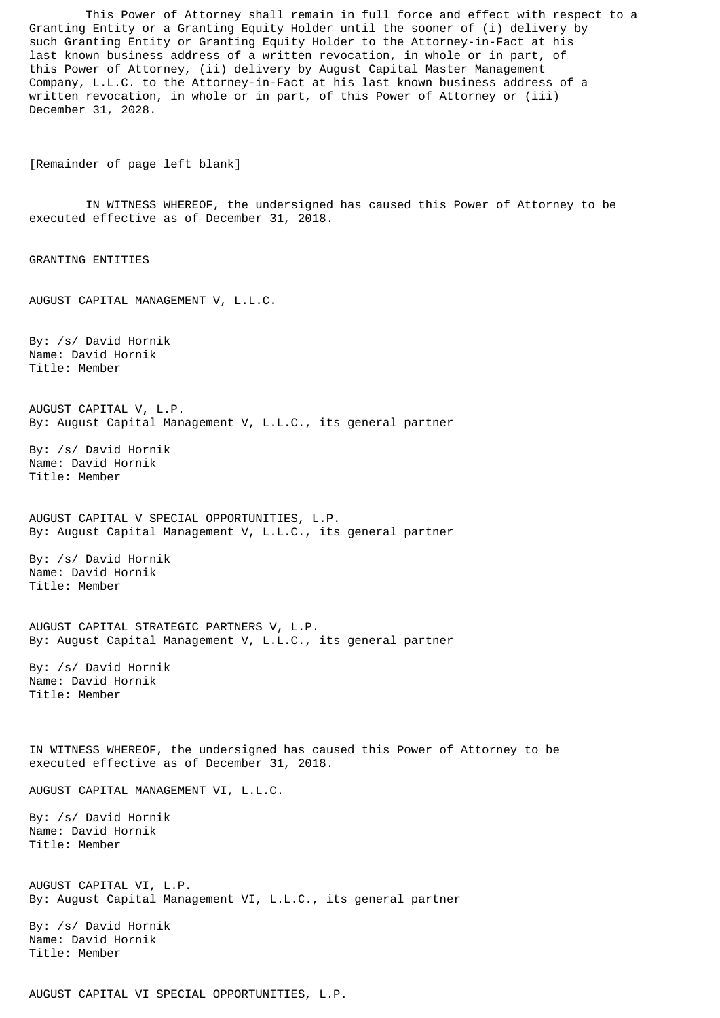This Power of Attorney shall remain in full force and effect with respect to a Granting Entity or a Granting Equity Holder until the sooner of (i) delivery by such Granting Entity or Granting Equity Holder to the Attorney-in-Fact at his last known business address of a written revocation, in whole or in part, of this Power of Attorney, (ii) delivery by August Capital Master Management Company, L.L.C. to the Attorney-in-Fact at his last known business address of a written revocation, in whole or in part, of this Power of Attorney or (iii) December 31, 2028.

[Remainder of page left blank]

IN WITNESS WHEREOF, the undersigned has caused this Power of Attorney to be executed effective as of December 31, 2018.

GRANTING ENTITIES

AUGUST CAPITAL MANAGEMENT V, L.L.C.

By: /s/ David Hornik Name: David Hornik Title: Member

AUGUST CAPITAL V, L.P. By: August Capital Management V, L.L.C., its general partner

By: /s/ David Hornik Name: David Hornik Title: Member

AUGUST CAPITAL V SPECIAL OPPORTUNITIES, L.P. By: August Capital Management V, L.L.C., its general partner

By: /s/ David Hornik Name: David Hornik Title: Member

AUGUST CAPITAL STRATEGIC PARTNERS V, L.P. By: August Capital Management V, L.L.C., its general partner

By: /s/ David Hornik Name: David Hornik Title: Member

IN WITNESS WHEREOF, the undersigned has caused this Power of Attorney to be executed effective as of December 31, 2018.

AUGUST CAPITAL MANAGEMENT VI, L.L.C.

By: /s/ David Hornik Name: David Hornik Title: Member

AUGUST CAPITAL VI, L.P. By: August Capital Management VI, L.L.C., its general partner

By: /s/ David Hornik Name: David Hornik Title: Member

AUGUST CAPITAL VI SPECIAL OPPORTUNITIES, L.P.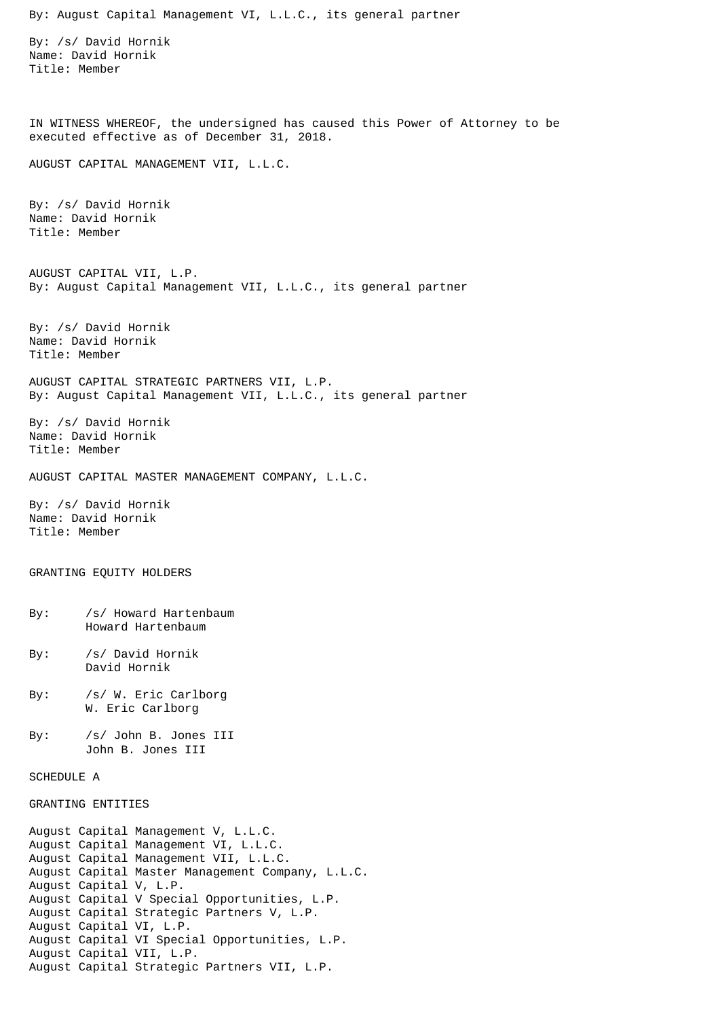By: August Capital Management VI, L.L.C., its general partner By: /s/ David Hornik Name: David Hornik Title: Member IN WITNESS WHEREOF, the undersigned has caused this Power of Attorney to be executed effective as of December 31, 2018. AUGUST CAPITAL MANAGEMENT VII, L.L.C. By: /s/ David Hornik Name: David Hornik Title: Member AUGUST CAPITAL VII, L.P. By: August Capital Management VII, L.L.C., its general partner By: /s/ David Hornik Name: David Hornik Title: Member AUGUST CAPITAL STRATEGIC PARTNERS VII, L.P. By: August Capital Management VII, L.L.C., its general partner By: /s/ David Hornik Name: David Hornik Title: Member AUGUST CAPITAL MASTER MANAGEMENT COMPANY, L.L.C. By: /s/ David Hornik Name: David Hornik Title: Member GRANTING EQUITY HOLDERS By: /s/ Howard Hartenbaum Howard Hartenbaum By: /s/ David Hornik David Hornik By: /s/ W. Eric Carlborg W. Eric Carlborg By: /s/ John B. Jones III John B. Jones III SCHEDULE A GRANTING ENTITIES August Capital Management V, L.L.C. August Capital Management VI, L.L.C. August Capital Management VII, L.L.C. August Capital Master Management Company, L.L.C. August Capital V, L.P. August Capital V Special Opportunities, L.P. August Capital Strategic Partners V, L.P. August Capital VI, L.P. August Capital VI Special Opportunities, L.P. August Capital VII, L.P. August Capital Strategic Partners VII, L.P.